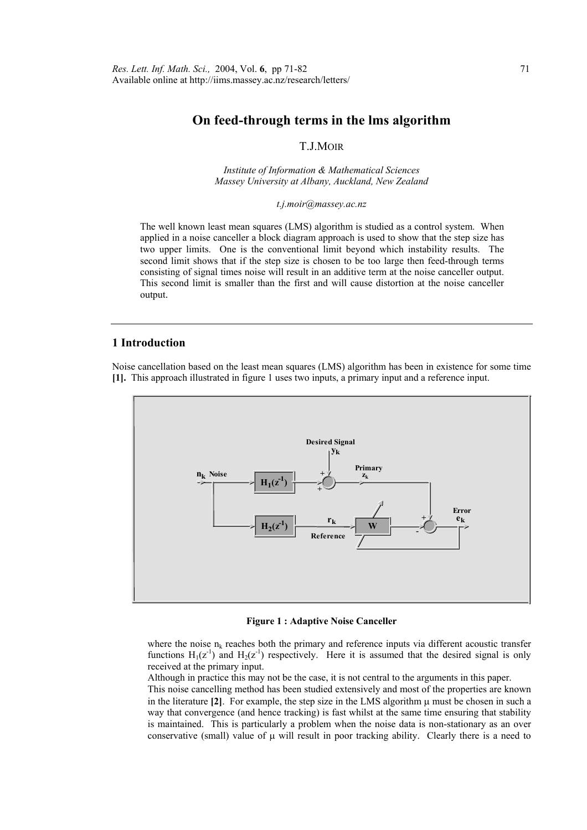# **On feed-through terms in the lms algorithm**

## T.J.MOIR

*Institute of Information & Mathematical Sciences Massey University at Albany, Auckland, New Zealand* 

*t.j.moir@massey.ac.nz* 

The well known least mean squares (LMS) algorithm is studied as a control system. When applied in a noise canceller a block diagram approach is used to show that the step size has two upper limits. One is the conventional limit beyond which instability results. The second limit shows that if the step size is chosen to be too large then feed-through terms consisting of signal times noise will result in an additive term at the noise canceller output. This second limit is smaller than the first and will cause distortion at the noise canceller output.

## **1 Introduction**

Noise cancellation based on the least mean squares (LMS) algorithm has been in existence for some time **[1].** This approach illustrated in figure 1 uses two inputs, a primary input and a reference input.



**Figure 1 : Adaptive Noise Canceller** 

where the noise  $n_k$  reaches both the primary and reference inputs via different acoustic transfer functions  $H_1(z^{-1})$  and  $H_2(z^{-1})$  respectively. Here it is assumed that the desired signal is only received at the primary input.

Although in practice this may not be the case, it is not central to the arguments in this paper.

 This noise cancelling method has been studied extensively and most of the properties are known in the literature  $[2]$ . For example, the step size in the LMS algorithm  $\mu$  must be chosen in such a way that convergence (and hence tracking) is fast whilst at the same time ensuring that stability is maintained. This is particularly a problem when the noise data is non-stationary as an over conservative (small) value of  $\mu$  will result in poor tracking ability. Clearly there is a need to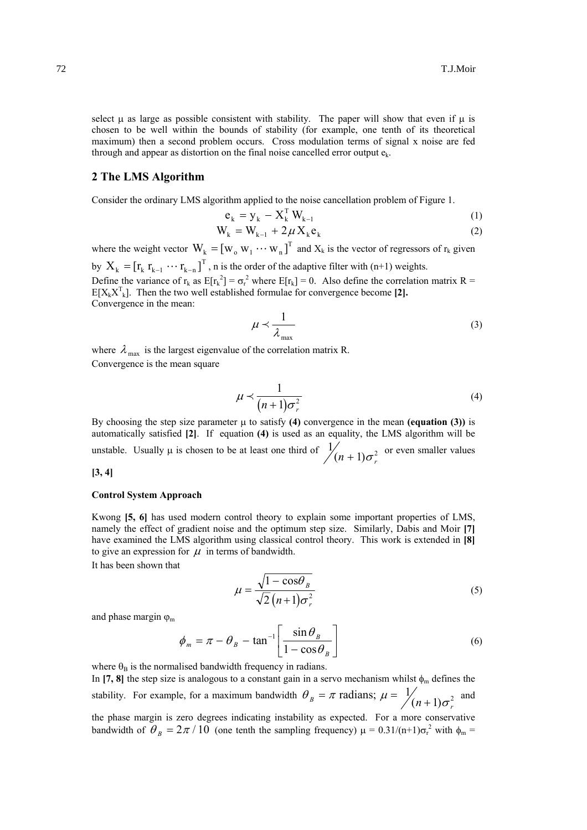select  $\mu$  as large as possible consistent with stability. The paper will show that even if  $\mu$  is chosen to be well within the bounds of stability (for example, one tenth of its theoretical maximum) then a second problem occurs. Cross modulation terms of signal x noise are fed through and appear as distortion on the final noise cancelled error output  $e_k$ .

### **2 The LMS Algorithm**

Consider the ordinary LMS algorithm applied to the noise cancellation problem of Figure 1.

$$
\mathbf{e}_{k} = \mathbf{y}_{k} - \mathbf{X}_{k}^{\mathrm{T}} \mathbf{W}_{k-1} \tag{1}
$$

$$
W_k = W_{k-1} + 2\mu X_k e_k
$$
 (2)

where the weight vector  $W_k = [w_0 w_1 \cdots w_n]^T$  and  $X_k$  is the vector of regressors of  $r_k$  given by  $X_k = [r_k r_{k-1} \cdots r_{k-n}]^T$ , n is the order of the adaptive filter with (n+1) weights. Define the variance of  $r_k$  as  $E[r_k^2] = \sigma_r^2$  where  $E[r_k] = 0$ . Also define the correlation matrix R =  $E[X_kX_{k}^{T}]$ . Then the two well established formulae for convergence become [2]. Convergence in the mean:

$$
\mu \prec \frac{1}{\lambda_{\max}}\tag{3}
$$

where  $\lambda_{\text{max}}$  is the largest eigenvalue of the correlation matrix R. Convergence is the mean square

$$
\mu \prec \frac{1}{(n+1)\sigma_r^2} \tag{4}
$$

By choosing the step size parameter  $\mu$  to satisfy (4) convergence in the mean (equation (3)) is automatically satisfied **[2]**. If equation **(4)** is used as an equality, the LMS algorithm will be unstable. Usually  $\mu$  is chosen to be at least one third of  $\frac{1}{2}$  $(n + 1)\sigma_r^2$  or even smaller values

### **[3, 4]**

#### **Control System Approach**

 Kwong **[5, 6]** has used modern control theory to explain some important properties of LMS, namely the effect of gradient noise and the optimum step size. Similarly, Dabis and Moir **[7]**  have examined the LMS algorithm using classical control theory. This work is extended in **[8]** to give an expression for  $\mu$  in terms of bandwidth.

It has been shown that

$$
\mu = \frac{\sqrt{1 - \cos \theta_B}}{\sqrt{2} (n+1) \sigma_r^2}
$$
\n(5)

and phase margin  $\varphi_m$ 

$$
\phi_m = \pi - \theta_B - \tan^{-1} \left[ \frac{\sin \theta_B}{1 - \cos \theta_B} \right] \tag{6}
$$

where  $\theta_B$  is the normalised bandwidth frequency in radians.

In [7, 8] the step size is analogous to a constant gain in a servo mechanism whilst  $\phi_m$  defines the stability. For example, for a maximum bandwidth  $\theta_B = \pi$  radians;  $\mu = \frac{1}{(n+1)\sigma}$  $(n+1)\sigma_r^2$  and the phase margin is zero degrees indicating instability as expected. For a more conservative bandwidth of  $\theta_B = 2\pi/10$  (one tenth the sampling frequency)  $\mu = 0.31/(n+1)\sigma_r^2$  with  $\phi_m =$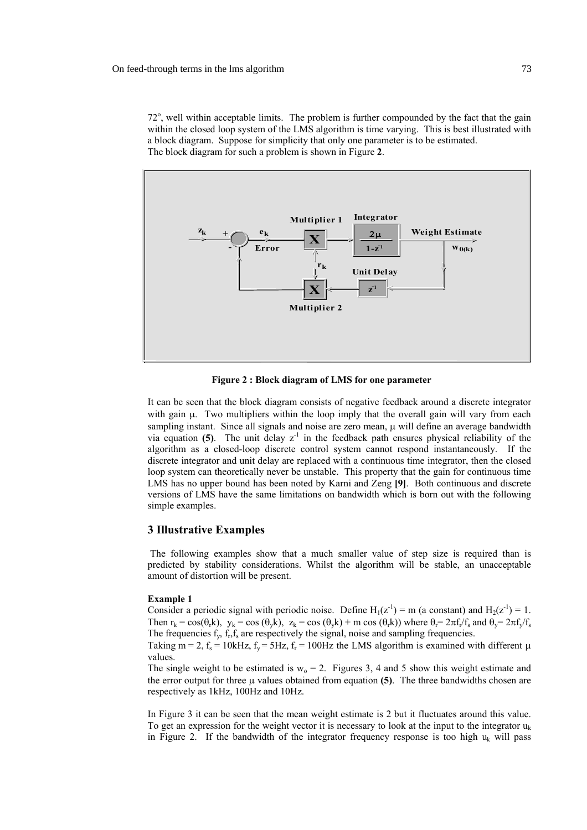72°, well within acceptable limits. The problem is further compounded by the fact that the gain within the closed loop system of the LMS algorithm is time varying. This is best illustrated with a block diagram. Suppose for simplicity that only one parameter is to be estimated. The block diagram for such a problem is shown in Figure **2**.



**Figure 2 : Block diagram of LMS for one parameter** 

 It can be seen that the block diagram consists of negative feedback around a discrete integrator with gain  $\mu$ . Two multipliers within the loop imply that the overall gain will vary from each sampling instant. Since all signals and noise are zero mean, u will define an average bandwidth via equation  $(5)$ . The unit delay  $z^{-1}$  in the feedback path ensures physical reliability of the algorithm as a closed-loop discrete control system cannot respond instantaneously. If the discrete integrator and unit delay are replaced with a continuous time integrator, then the closed loop system can theoretically never be unstable. This property that the gain for continuous time LMS has no upper bound has been noted by Karni and Zeng **[9]**. Both continuous and discrete versions of LMS have the same limitations on bandwidth which is born out with the following simple examples.

#### **3 Illustrative Examples**

 The following examples show that a much smaller value of step size is required than is predicted by stability considerations. Whilst the algorithm will be stable, an unacceptable amount of distortion will be present.

#### **Example 1**

Consider a periodic signal with periodic noise. Define  $H_1(z^{-1}) = m$  (a constant) and  $H_2(z^{-1}) = 1$ . Then  $r_k = \cos(\theta_k k)$ ,  $y_k = \cos(\theta_k k)$ ,  $z_k = \cos(\theta_k k) + m \cos(\theta_k k)$  where  $\theta_r = 2\pi f_r/f_s$  and  $\theta_v = 2\pi f_v/f_s$ The frequencies  $f_v$ ,  $f_s$ ,  $f_s$  are respectively the signal, noise and sampling frequencies.

Taking m = 2,  $f_s$  = 10kHz,  $f_v$  = 5Hz,  $f_r$  = 100Hz the LMS algorithm is examined with different  $\mu$ values.

The single weight to be estimated is  $w_0 = 2$ . Figures 3, 4 and 5 show this weight estimate and the error output for three  $\mu$  values obtained from equation **(5)**. The three bandwidths chosen are respectively as 1kHz, 100Hz and 10Hz.

 In Figure 3 it can be seen that the mean weight estimate is 2 but it fluctuates around this value. To get an expression for the weight vector it is necessary to look at the input to the integrator  $u_k$ in Figure 2. If the bandwidth of the integrator frequency response is too high  $u_k$  will pass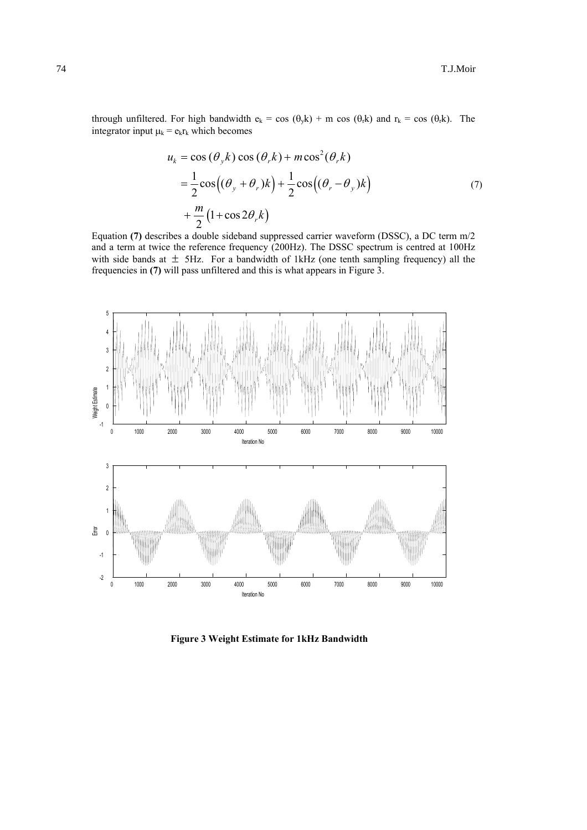through unfiltered. For high bandwidth  $e_k = \cos (\theta_k k) + m \cos (\theta_r k)$  and  $r_k = \cos (\theta_r k)$ . The integrator input  $\mu_k = e_k r_k$  which becomes

$$
u_k = \cos(\theta_y k) \cos(\theta_r k) + m \cos^2(\theta_r k)
$$
  
=  $\frac{1}{2} \cos((\theta_y + \theta_r)k) + \frac{1}{2} \cos((\theta_r - \theta_y)k)$   
+  $\frac{m}{2} (1 + \cos 2\theta_r k)$  (7)

 Equation **(7)** describes a double sideband suppressed carrier waveform (DSSC), a DC term m/2 and a term at twice the reference frequency (200Hz). The DSSC spectrum is centred at 100Hz with side bands at  $\pm$  5Hz. For a bandwidth of 1kHz (one tenth sampling frequency) all the frequencies in **(7)** will pass unfiltered and this is what appears in Figure 3.



**Figure 3 Weight Estimate for 1kHz Bandwidth**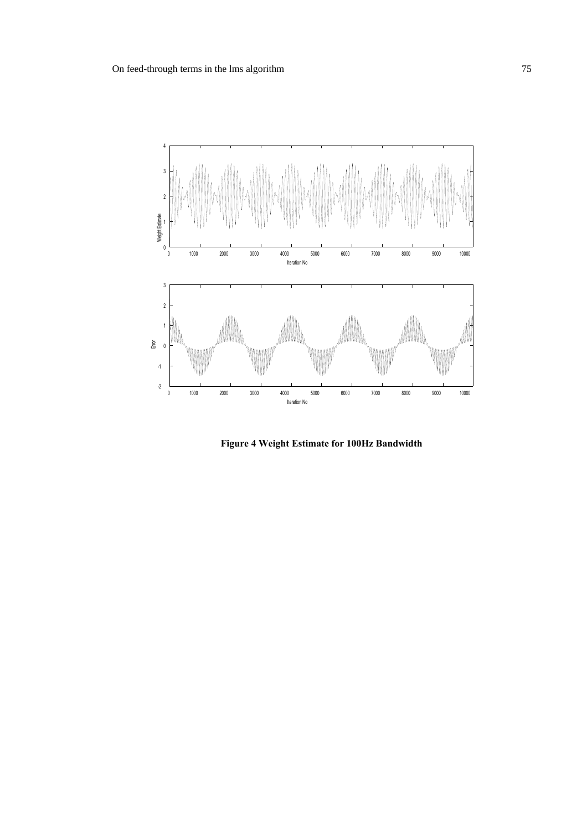

**Figure 4 Weight Estimate for 100Hz Bandwidth**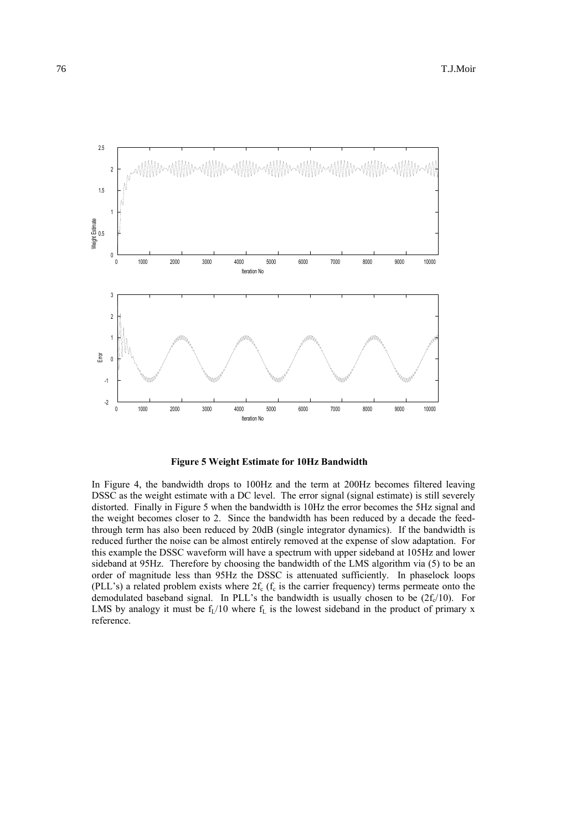

**Figure 5 Weight Estimate for 10Hz Bandwidth** 

 In Figure 4, the bandwidth drops to 100Hz and the term at 200Hz becomes filtered leaving DSSC as the weight estimate with a DC level. The error signal (signal estimate) is still severely distorted. Finally in Figure 5 when the bandwidth is 10Hz the error becomes the 5Hz signal and the weight becomes closer to 2. Since the bandwidth has been reduced by a decade the feedthrough term has also been reduced by 20dB (single integrator dynamics). If the bandwidth is reduced further the noise can be almost entirely removed at the expense of slow adaptation. For this example the DSSC waveform will have a spectrum with upper sideband at 105Hz and lower sideband at 95Hz. Therefore by choosing the bandwidth of the LMS algorithm via (5) to be an order of magnitude less than 95Hz the DSSC is attenuated sufficiently. In phaselock loops (PLL's) a related problem exists where  $2f_c$  ( $f_c$  is the carrier frequency) terms permeate onto the demodulated baseband signal. In PLL's the bandwidth is usually chosen to be  $(2f_c/10)$ . For LMS by analogy it must be  $f_L/10$  where  $f_L$  is the lowest sideband in the product of primary x reference.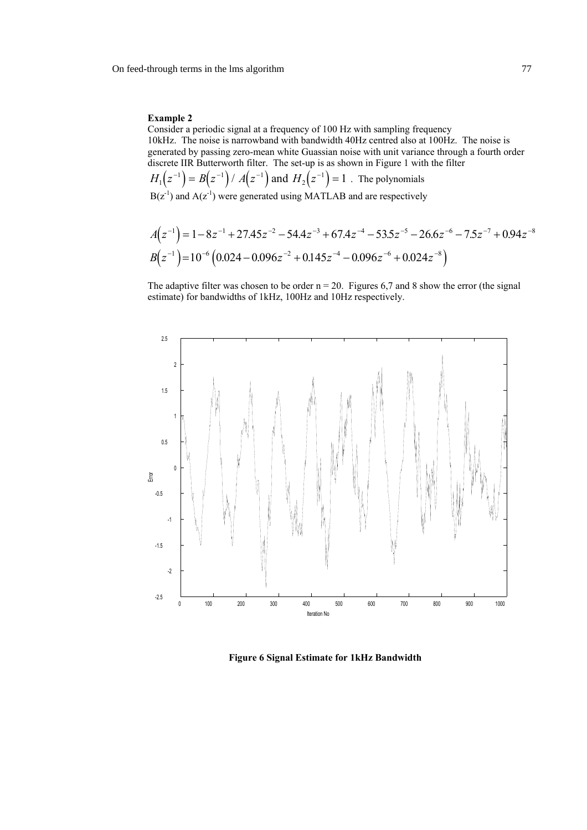### **Example 2**

 Consider a periodic signal at a frequency of 100 Hz with sampling frequency 10kHz. The noise is narrowband with bandwidth 40Hz centred also at 100Hz. The noise is generated by passing zero-mean white Guassian noise with unit variance through a fourth order discrete IIR Butterworth filter. The set-up is as shown in Figure 1 with the filter

 $H_1(z^{-1}) = B(z^{-1}) / A(z^{-1})$  and  $H_2(z^{-1}) = 1$ . The polynomials  $B(z^{-1})$  and  $A(z^{-1})$  were generated using MATLAB and are respectively

$$
A(z^{-1}) = 1 - 8z^{-1} + 27.45z^{-2} - 54.4z^{-3} + 67.4z^{-4} - 53.5z^{-5} - 26.6z^{-6} - 7.5z^{-7} + 0.94z^{-8}
$$
  

$$
B(z^{-1}) = 10^{-6} (0.024 - 0.096z^{-2} + 0.145z^{-4} - 0.096z^{-6} + 0.024z^{-8})
$$

The adaptive filter was chosen to be order  $n = 20$ . Figures 6,7 and 8 show the error (the signal estimate) for bandwidths of 1kHz, 100Hz and 10Hz respectively.



**Figure 6 Signal Estimate for 1kHz Bandwidth**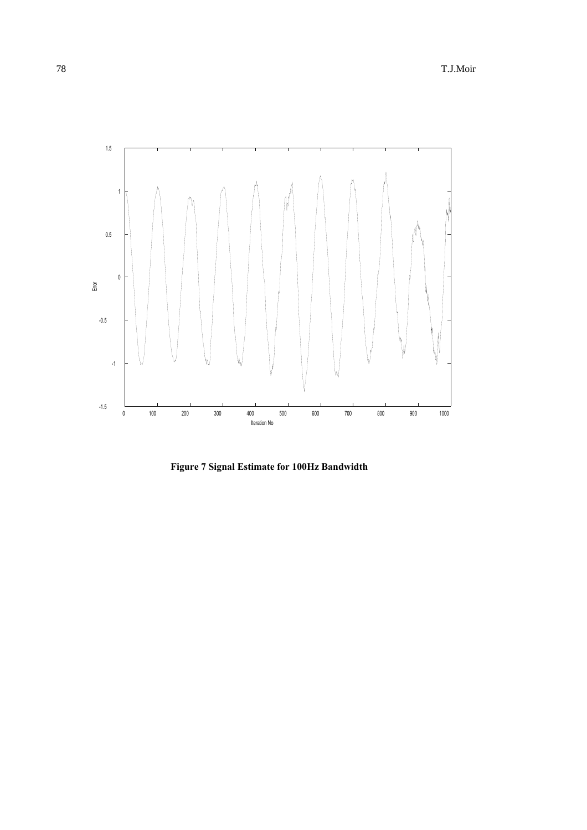

**Figure 7 Signal Estimate for 100Hz Bandwidth**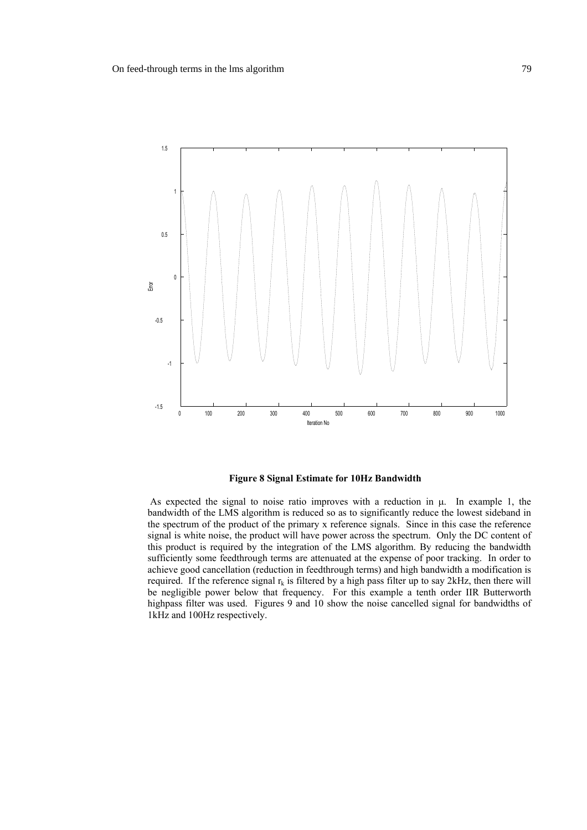

#### **Figure 8 Signal Estimate for 10Hz Bandwidth**

As expected the signal to noise ratio improves with a reduction in  $\mu$ . In example 1, the bandwidth of the LMS algorithm is reduced so as to significantly reduce the lowest sideband in the spectrum of the product of the primary x reference signals. Since in this case the reference signal is white noise, the product will have power across the spectrum. Only the DC content of this product is required by the integration of the LMS algorithm. By reducing the bandwidth sufficiently some feedthrough terms are attenuated at the expense of poor tracking. In order to achieve good cancellation (reduction in feedthrough terms) and high bandwidth a modification is required. If the reference signal  $r_k$  is filtered by a high pass filter up to say 2kHz, then there will be negligible power below that frequency. For this example a tenth order IIR Butterworth highpass filter was used. Figures 9 and 10 show the noise cancelled signal for bandwidths of 1kHz and 100Hz respectively.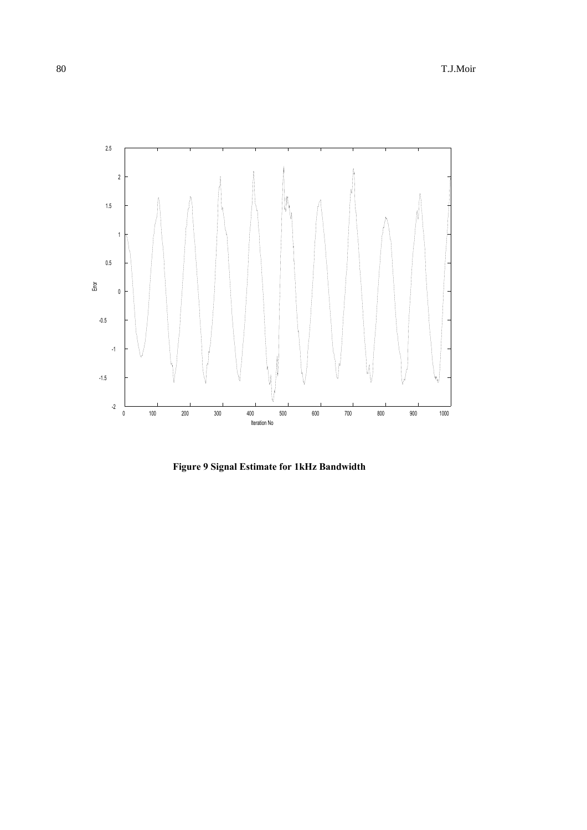

**Figure 9 Signal Estimate for 1kHz Bandwidth**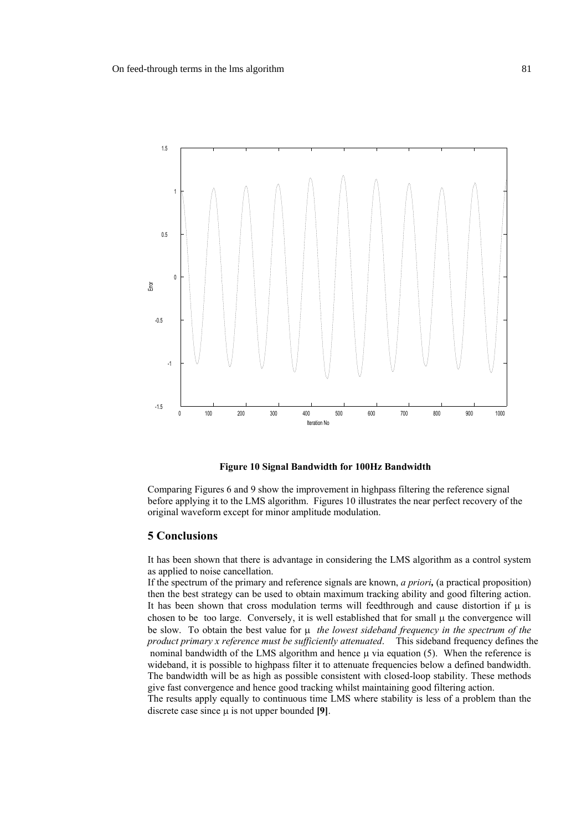

#### **Figure 10 Signal Bandwidth for 100Hz Bandwidth**

 Comparing Figures 6 and 9 show the improvement in highpass filtering the reference signal before applying it to the LMS algorithm. Figures 10 illustrates the near perfect recovery of the original waveform except for minor amplitude modulation.

### **5 Conclusions**

 It has been shown that there is advantage in considering the LMS algorithm as a control system as applied to noise cancellation.

 If the spectrum of the primary and reference signals are known, *a priori,* (a practical proposition) then the best strategy can be used to obtain maximum tracking ability and good filtering action. It has been shown that cross modulation terms will feedthrough and cause distortion if  $\mu$  is chosen to be too large. Conversely, it is well established that for small  $\mu$  the convergence will be slow. To obtain the best value for  $\mu$  *the lowest sideband frequency in the spectrum of the product primary x reference must be sufficiently attenuated*. This sideband frequency defines the nominal bandwidth of the LMS algorithm and hence  $\mu$  via equation (5). When the reference is wideband, it is possible to highpass filter it to attenuate frequencies below a defined bandwidth. The bandwidth will be as high as possible consistent with closed-loop stability. These methods give fast convergence and hence good tracking whilst maintaining good filtering action. The results apply equally to continuous time LMS where stability is less of a problem than the discrete case since µ is not upper bounded **[9]**.